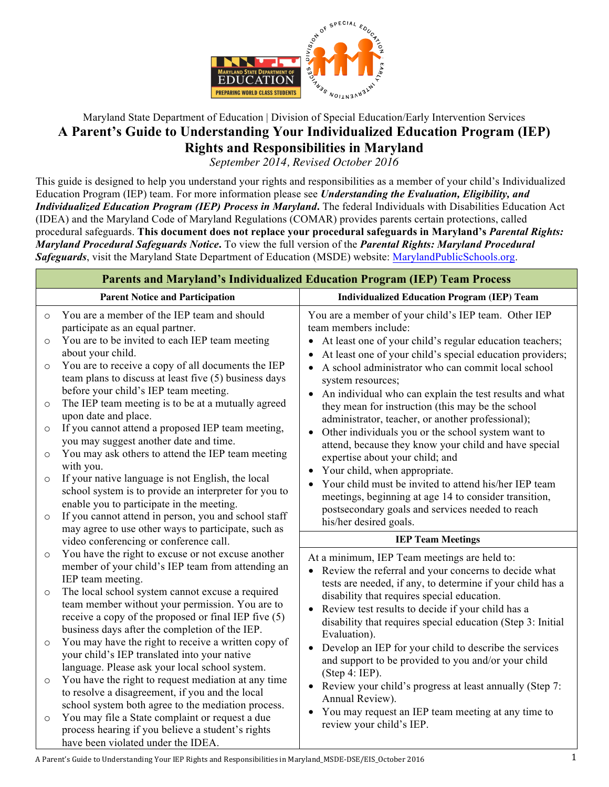

# Maryland State Department of Education | Division of Special Education/Early Intervention Services **A Parent's Guide to Understanding Your Individualized Education Program (IEP) Rights and Responsibilities in Maryland**

*September 2014, Revised October 2016*

This guide is designed to help you understand your rights and responsibilities as a member of your child's Individualized Education Program (IEP) team. For more information please see *Understanding the Evaluation, Eligibility, and Individualized Education Program (IEP) Process in Maryland***.** The federal Individuals with Disabilities Education Act (IDEA) and the Maryland Code of Maryland Regulations (COMAR) provides parents certain protections, called procedural safeguards. **This document does not replace your procedural safeguards in Maryland's** *Parental Rights: Maryland Procedural Safeguards Notice***.** To view the full version of the *Parental Rights: Maryland Procedural*  **Safeguards**, visit the Maryland State Department of Education (MSDE) website: MarylandPublicSchools.org.

| <b>Parents and Maryland's Individualized Education Program (IEP) Team Process</b> |                                                                                                                                                         |                                                                                                                                                                                 |
|-----------------------------------------------------------------------------------|---------------------------------------------------------------------------------------------------------------------------------------------------------|---------------------------------------------------------------------------------------------------------------------------------------------------------------------------------|
|                                                                                   | <b>Parent Notice and Participation</b>                                                                                                                  | <b>Individualized Education Program (IEP) Team</b>                                                                                                                              |
| $\circ$                                                                           | You are a member of the IEP team and should<br>participate as an equal partner.                                                                         | You are a member of your child's IEP team. Other IEP<br>team members include:                                                                                                   |
| $\circ$                                                                           | You are to be invited to each IEP team meeting<br>about your child.                                                                                     | At least one of your child's regular education teachers;<br>$\bullet$<br>At least one of your child's special education providers;                                              |
| $\circ$                                                                           | You are to receive a copy of all documents the IEP<br>team plans to discuss at least five (5) business days<br>before your child's IEP team meeting.    | A school administrator who can commit local school<br>$\bullet$<br>system resources;                                                                                            |
| $\circ$                                                                           | The IEP team meeting is to be at a mutually agreed<br>upon date and place.                                                                              | An individual who can explain the test results and what<br>$\bullet$<br>they mean for instruction (this may be the school<br>administrator, teacher, or another professional);  |
| $\circ$                                                                           | If you cannot attend a proposed IEP team meeting,<br>you may suggest another date and time.                                                             | Other individuals you or the school system want to<br>$\bullet$<br>attend, because they know your child and have special                                                        |
| $\circ$                                                                           | You may ask others to attend the IEP team meeting<br>with you.                                                                                          | expertise about your child; and<br>Your child, when appropriate.<br>$\bullet$                                                                                                   |
| $\circ$                                                                           | If your native language is not English, the local<br>school system is to provide an interpreter for you to<br>enable you to participate in the meeting. | Your child must be invited to attend his/her IEP team<br>$\bullet$<br>meetings, beginning at age 14 to consider transition,                                                     |
| $\circ$                                                                           | If you cannot attend in person, you and school staff<br>may agree to use other ways to participate, such as                                             | postsecondary goals and services needed to reach<br>his/her desired goals.                                                                                                      |
|                                                                                   | video conferencing or conference call.                                                                                                                  | <b>IEP Team Meetings</b>                                                                                                                                                        |
| $\circ$                                                                           | You have the right to excuse or not excuse another<br>member of your child's IEP team from attending an<br>IEP team meeting.                            | At a minimum, IEP Team meetings are held to:<br>Review the referral and your concerns to decide what<br>$\bullet$<br>tests are needed, if any, to determine if your child has a |
| $\circ$                                                                           | The local school system cannot excuse a required<br>team member without your permission. You are to                                                     | disability that requires special education.<br>Review test results to decide if your child has a<br>$\bullet$                                                                   |
|                                                                                   | receive a copy of the proposed or final IEP five (5)<br>business days after the completion of the IEP.                                                  | disability that requires special education (Step 3: Initial<br>Evaluation).                                                                                                     |
| $\circ$                                                                           | You may have the right to receive a written copy of<br>your child's IEP translated into your native<br>language. Please ask your local school system.   | Develop an IEP for your child to describe the services<br>$\bullet$<br>and support to be provided to you and/or your child                                                      |
| $\circ$                                                                           | You have the right to request mediation at any time<br>to resolve a disagreement, if you and the local                                                  | (Step 4: IEP).<br>Review your child's progress at least annually (Step 7:<br>$\bullet$                                                                                          |
| $\circ$                                                                           | school system both agree to the mediation process.<br>You may file a State complaint or request a due                                                   | Annual Review).<br>You may request an IEP team meeting at any time to<br>$\bullet$<br>review your child's IEP.                                                                  |
|                                                                                   | process hearing if you believe a student's rights<br>have been violated under the IDEA.                                                                 |                                                                                                                                                                                 |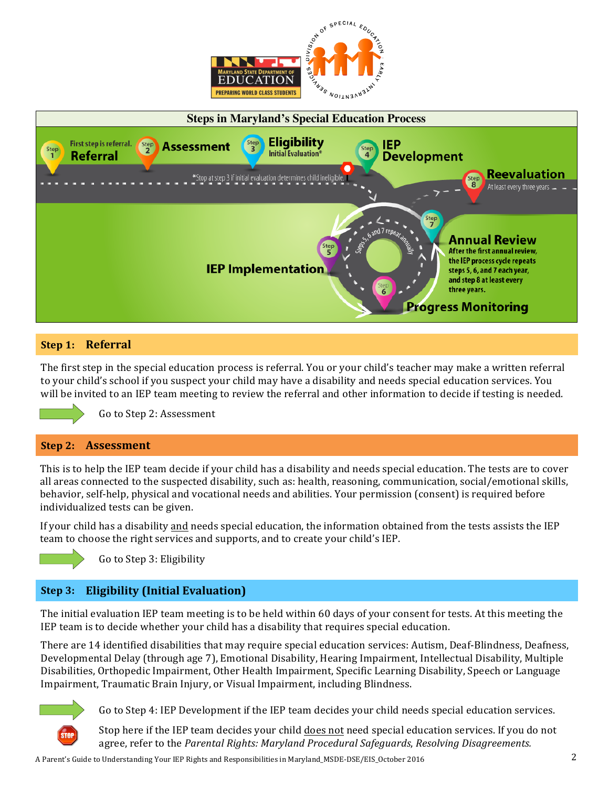



## **Step 1: Referral**

The first step in the special education process is referral. You or your child's teacher may make a written referral to your child's school if you suspect your child may have a disability and needs special education services. You will be invited to an IEP team meeting to review the referral and other information to decide if testing is needed.



Go to Step 2: Assessment

#### **Step 2: Assessment**

This is to help the IEP team decide if your child has a disability and needs special education. The tests are to cover all areas connected to the suspected disability, such as: health, reasoning, communication, social/emotional skills, behavior, self-help, physical and vocational needs and abilities. Your permission (consent) is required before individualized tests can be given.

If your child has a disability and needs special education, the information obtained from the tests assists the IEP team to choose the right services and supports, and to create your child's IEP.



Go to Step 3: Eligibility

# **Step 3: Eligibility (Initial Evaluation)**

The initial evaluation IEP team meeting is to be held within 60 days of your consent for tests. At this meeting the IEP team is to decide whether your child has a disability that requires special education.

There are 14 identified disabilities that may require special education services: Autism, Deaf-Blindness, Deafness, Developmental Delay (through age 7), Emotional Disability, Hearing Impairment, Intellectual Disability, Multiple Disabilities, Orthopedic Impairment, Other Health Impairment, Specific Learning Disability, Speech or Language Impairment, Traumatic Brain Injury, or Visual Impairment, including Blindness.



Go to Step 4: IEP Development if the IEP team decides your child needs special education services.

Stop here if the IEP team decides your child does not need special education services. If you do not agree, refer to the Parental Rights: Maryland Procedural Safeguards, Resolving Disagreements.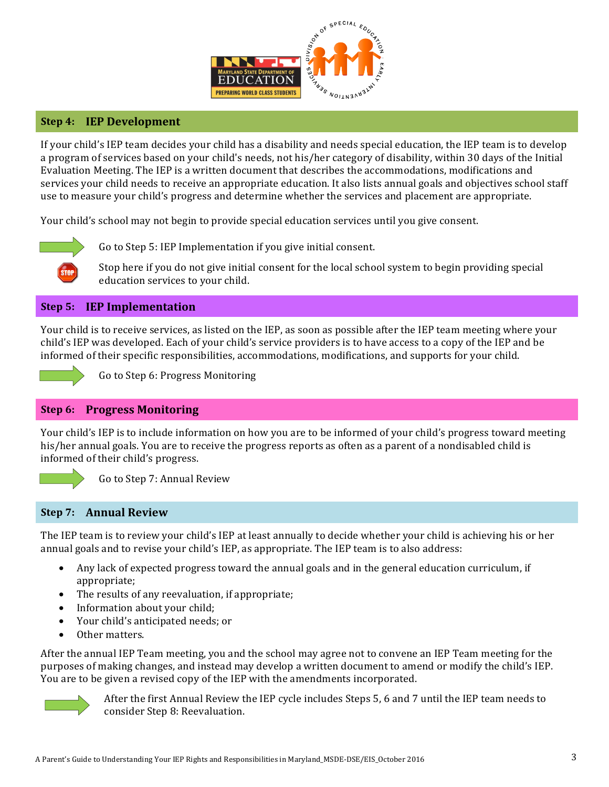

### **Step 4: IEP Development**

If your child's IEP team decides your child has a disability and needs special education, the IEP team is to develop a program of services based on your child's needs, not his/her category of disability, within 30 days of the Initial Evaluation Meeting. The IEP is a written document that describes the accommodations, modifications and services your child needs to receive an appropriate education. It also lists annual goals and objectives school staff use to measure your child's progress and determine whether the services and placement are appropriate.

Your child's school may not begin to provide special education services until you give consent.



Go to Step 5: IEP Implementation if you give initial consent.

Stop here if you do not give initial consent for the local school system to begin providing special education services to your child.

### **Step 5: IEP Implementation**

Your child is to receive services, as listed on the IEP, as soon as possible after the IEP team meeting where your child's IEP was developed. Each of your child's service providers is to have access to a copy of the IEP and be informed of their specific responsibilities, accommodations, modifications, and supports for your child.



Go to Step 6: Progress Monitoring

#### **Step 6: Progress Monitoring**

Your child's IEP is to include information on how you are to be informed of your child's progress toward meeting his/her annual goals. You are to receive the progress reports as often as a parent of a nondisabled child is informed of their child's progress.



Go to Step 7: Annual Review

#### **Step 7: Annual Review**

The IEP team is to review your child's IEP at least annually to decide whether your child is achieving his or her annual goals and to revise your child's IEP, as appropriate. The IEP team is to also address:

- Any lack of expected progress toward the annual goals and in the general education curriculum, if appropriate;
- $\bullet$  The results of any reevaluation, if appropriate;
- Information about your child;
- Your child's anticipated needs; or
- Other matters.

After the annual IEP Team meeting, you and the school may agree not to convene an IEP Team meeting for the purposes of making changes, and instead may develop a written document to amend or modify the child's IEP. You are to be given a revised copy of the IEP with the amendments incorporated.



After the first Annual Review the IEP cycle includes Steps 5, 6 and 7 until the IEP team needs to consider Step 8: Reevaluation.